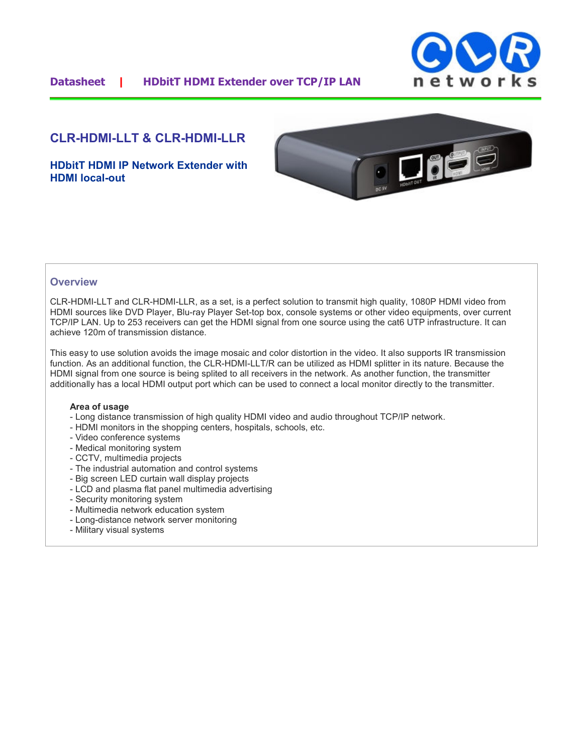

# **CLR-HDMI-LLT & CLR-HDMI-LLR**

**HDbitT HDMI IP Network Extender with HDMI local-out**



### **Overview**

CLR-HDMI-LLT and CLR-HDMI-LLR, as a set, is a perfect solution to transmit high quality, 1080P HDMI video from HDMI sources like DVD Player, Blu-ray Player Set-top box, console systems or other video equipments, over current TCP/IP LAN. Up to 253 receivers can get the HDMI signal from one source using the cat6 UTP infrastructure. It can achieve 120m of transmission distance.

This easy to use solution avoids the image mosaic and color distortion in the video. It also supports IR transmission function. As an additional function, the CLR-HDMI-LLT/R can be utilized as HDMI splitter in its nature. Because the HDMI signal from one source is being splited to all receivers in the network. As another function, the transmitter additionally has a local HDMI output port which can be used to connect a local monitor directly to the transmitter.

#### **Area of usage**

- Long distance transmission of high quality HDMI video and audio throughout TCP/IP network.
- HDMI monitors in the shopping centers, hospitals, schools, etc.
- Video conference systems
- Medical monitoring system
- CCTV, multimedia projects
- The industrial automation and control systems
- Big screen LED curtain wall display projects
- LCD and plasma flat panel multimedia advertising
- Security monitoring system
- Multimedia network education system
- Long-distance network server monitoring
- Military visual systems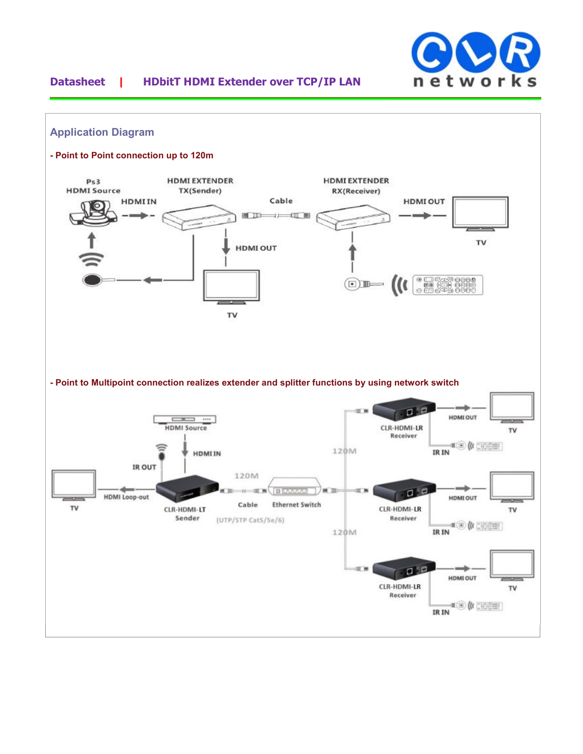

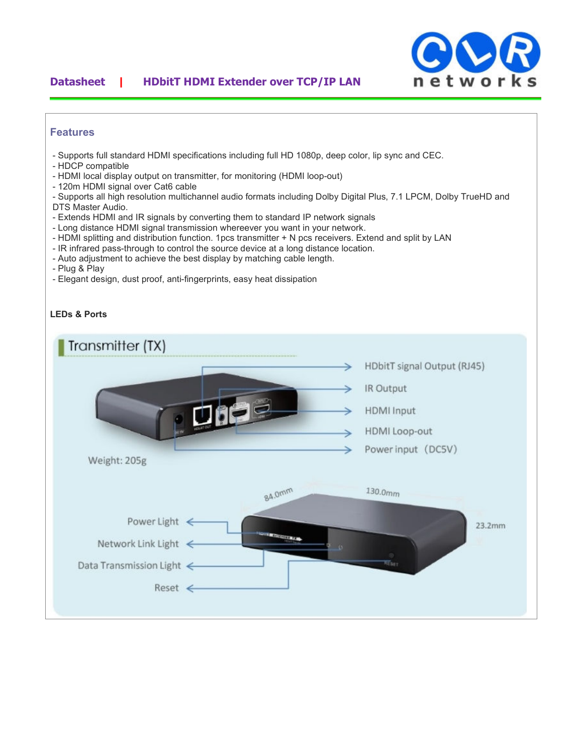### **Datasheet | HDbitT HDMI Extender over TCP/IP LAN**



### **Features**

- Supports full standard HDMI specifications including full HD 1080p, deep color, lip sync and CEC.
- HDCP compatible
- HDMI local display output on transmitter, for monitoring (HDMI loop-out)
- 120m HDMI signal over Cat6 cable

- Supports all high resolution multichannel audio formats including Dolby Digital Plus, 7.1 LPCM, Dolby TrueHD and DTS Master Audio.

- Extends HDMI and IR signals by converting them to standard IP network signals
- Long distance HDMI signal transmission whereever you want in your network.
- HDMI splitting and distribution function. 1pcs transmitter + N pcs receivers. Extend and split by LAN
- IR infrared pass-through to control the source device at a long distance location.
- Auto adjustment to achieve the best display by matching cable length.
- Plug & Play
- Elegant design, dust proof, anti-fingerprints, easy heat dissipation

#### **LEDs & Ports**

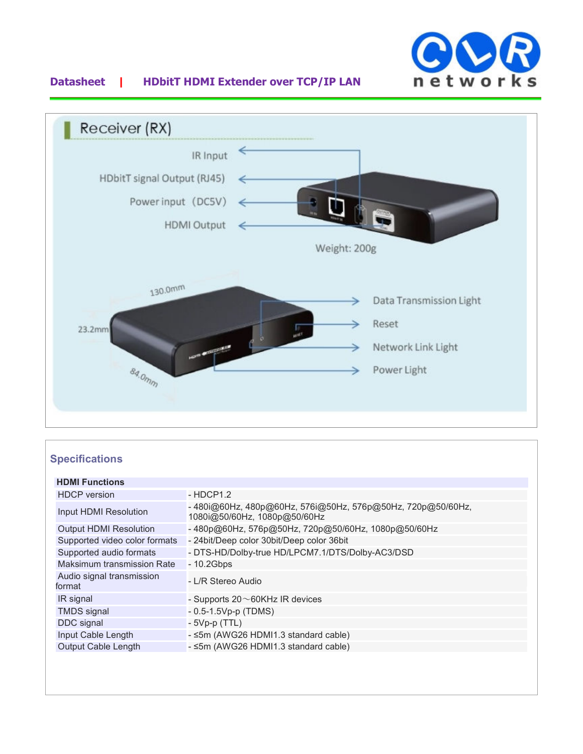

## **Datasheet | HDbitT HDMI Extender over TCP/IP LAN**



# **Specifications**

| <b>HDMI Functions</b>               |                                                                                            |
|-------------------------------------|--------------------------------------------------------------------------------------------|
| <b>HDCP</b> version                 | $-HDCP1.2$                                                                                 |
| Input HDMI Resolution               | -480i@60Hz, 480p@60Hz, 576i@50Hz, 576p@50Hz, 720p@50/60Hz,<br>1080i@50/60Hz, 1080p@50/60Hz |
| <b>Output HDMI Resolution</b>       | -480p@60Hz, 576p@50Hz, 720p@50/60Hz, 1080p@50/60Hz                                         |
| Supported video color formats       | - 24 bit/Deep color 30 bit/Deep color 36 bit                                               |
| Supported audio formats             | - DTS-HD/Dolby-true HD/LPCM7.1/DTS/Dolby-AC3/DSD                                           |
| Maksimum transmission Rate          | $-10.2Gbps$                                                                                |
| Audio signal transmission<br>format | - L/R Stereo Audio                                                                         |
| IR signal                           | - Supports $20 \sim 60$ KHz IR devices                                                     |
| <b>TMDS</b> signal                  | $-0.5 - 1.5Vp-p$ (TDMS)                                                                    |
| DDC signal                          | $-5Vp-p(TTL)$                                                                              |
| Input Cable Length                  | - ≤5m (AWG26 HDMI1.3 standard cable)                                                       |
| <b>Output Cable Length</b>          | - ≤5m (AWG26 HDMI1.3 standard cable)                                                       |
|                                     |                                                                                            |